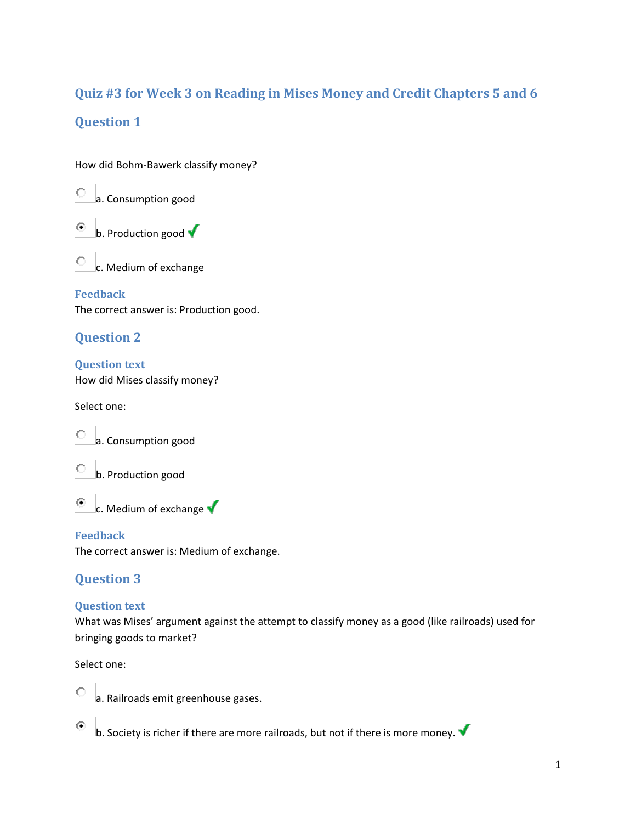# **Quiz #3 for Week 3 on Reading in Mises Money and Credit Chapters 5 and 6 Question 1**

How did Bohm-Bawerk classify money?

a. Consumption good

⊙ b. Production good  $\sqrt{\ }$ 

0. c. Medium of exchange

**Feedback**

The correct answer is: Production good.

## **Question 2**

**Question text** How did Mises classify money?

Select one:

a. Consumption good





c. Medium of exchange  $\blacklozenge$ 

#### **Feedback**

The correct answer is: Medium of exchange.

# **Question 3**

#### **Question text**

What was Mises' argument against the attempt to classify money as a good (like railroads) used for bringing goods to market?

Select one:

⊙



b. Society is richer if there are more railroads, but not if there is more money.  $\blacktriangledown$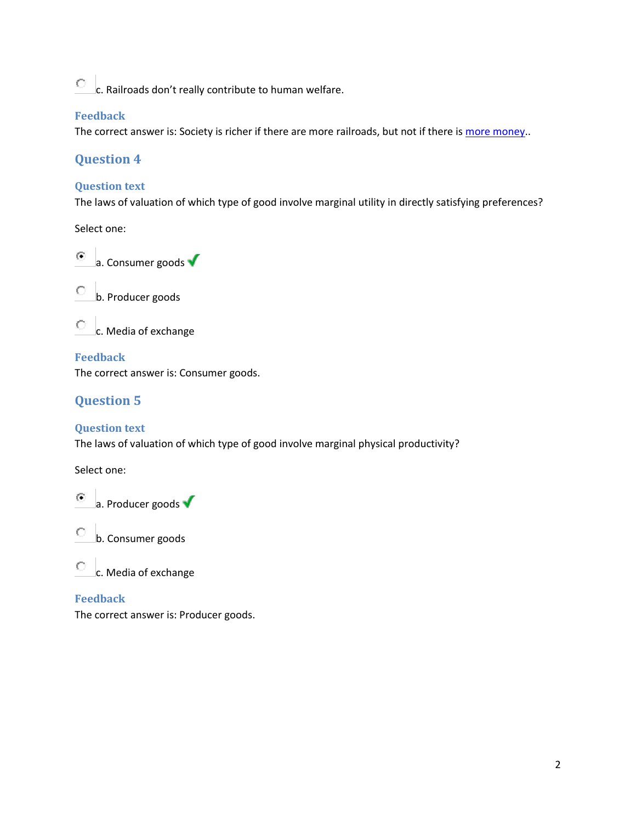$\overline{C}$  c. Railroads don't really contribute to human welfare.

#### **Feedback**

The correct answer is: Society is richer if there are more railroads, but not if there is [more money.](http://academy.mises.org/moodle/mod/quiz/review.php?attempt=13336).

## **Question 4**

#### **Question text**

The laws of valuation of which type of good involve marginal utility in directly satisfying preferences?

Select one:









**Feedback** The correct answer is: Consumer goods.

# **Question 5**

#### **Question text**

The laws of valuation of which type of good involve marginal physical productivity?

Select one:



b. Consumer goods

c. Media of exchange

#### **Feedback**

The correct answer is: Producer goods.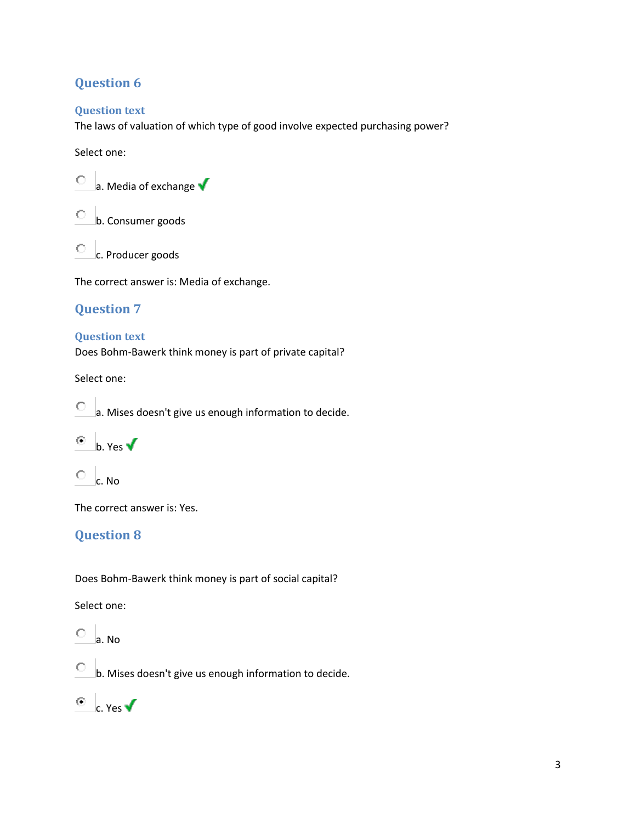## **Question 6**

#### **Question text**

The laws of valuation of which type of good involve expected purchasing power?

#### Select one:

- $\circ$  a. Media of exchange  $\checkmark$
- b. Consumer goods
- c. Producer goods

The correct answer is: Media of exchange.

## **Question 7**

#### **Question text**

Does Bohm-Bawerk think money is part of private capital?

Select one:

- a. Mises doesn't give us enough information to decide.
- $\bullet$  b. Yes  $\checkmark$
- $\overline{\mathcal{C}}$  c. No

The correct answer is: Yes.

## **Question 8**

Does Bohm-Bawerk think money is part of social capital?

Select one:

0 a. No